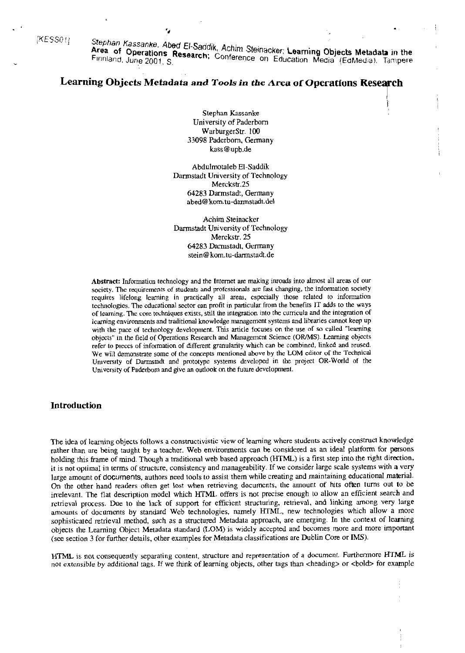[KESS01]

Stephan Kassanke. Abed El-Saddik, Achim Steinacker; Learning Objects Metadata in the Area of Operations Research; Conference on Education Media (EdMedia). Tampere

# Learning Objects Metadata and Tools in the Area of Operations Research

٠,

Stephan Kassanke University of Paderborn WarburgerStr. 100 33098 Paderborn, Germany kass@upb.de

Abdulmotaleb El-Saddik Darmstadt University of Technology Merckstr.25 64283 Darmstadt, Germany abed@kom.tu-darmstadt.del

Achim Steinacker Darmstadt University of Technology Merckstr. 25 64283 Darmstadt, Germany stein@kom.tu-darmstadt.de

Abstract: Information technology and the Internet are making inroads into almost all areas of our society. The requirements of students and professionals are fast changing, the information society requires lifelong learning in practically all areas, cspecially those related to information technologies. The cducational sector can profit in particular from the benefits IT adds to the ways of learning. The core techniques exists, still the integration into the curricula and the integration of learning environments and traditional knowledge management systems and libraries cannot keep up with the pace of technology development. This article focuses on the use of so called "learning objects" in the field of Operations Research and Management Science (OR/MS). Learning objects refer to pieces of information of different granularity which can be combined, linked and reused. We will demonstrate some of the concepts mentioned above by the LOM editor of the Technical University of Darmstadt and prototype systems developed in the project OR-World of the University of Paderborn and give an outlook on the future development.

### **Introduction**

The idea of learning objects follows a constructivistic view of learning where students actively construct knowledge rather than are being taught by a teacher. Web environments can be considered as an ideal platform for persons holding this frame of mind. Though a traditional web based approach (HTML) is a first step into the right direction, it is not optimal in terms of structure, consistency and manageability. If we consider large scale systems with a very large amount of documents, authors need tools to assist them while creating and maintaining educational material. On the other hand readers often get lost when retrieving documents, the amount of hits often turns out to be irrelevant. The flat description model which HTML offers is not precise enough to allow an efficient search and retrieval process. Due to the lack of support for efficient structuring, retrieval, and linking among very large amounts of documents by standard Web technologies, namely HTML, new technologies which allow a more sophisticated retrieval method, such as a structured Metadata approach, are emerging. In the context of learning objects the Learning Object Metadata standard (LOM) is widely accepted and becomes more and more important (see section 3 for further details, other examples for Metadata classifications are Dublin Core or IMS).

HTML is not consequently separating content, structure and representation of a document. Furthermore HTML is not extensible by additional tags. If we think of learning objects, other tags than <heading> or <bold> for example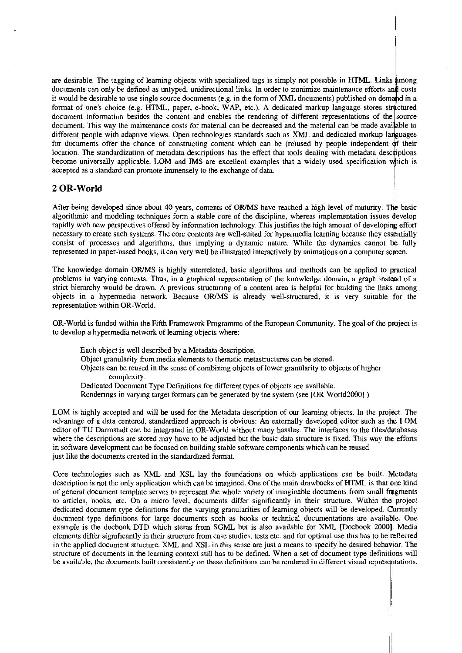are desirable. The tagging of learning objects with specialized tags is simply not possible in HTML. Links among documents can only be defined as untyped, unidirectional links. In order to minimize maintenance efforts and costs it would be desirable to use single source documents (e.g. in the form of XML documents) published on demand in a format of one's choice (e.g. HTML, paper, e-book, WAP, etc.). A dedicated markup language stores structured document information besides the content and enables the rendering of different representations of the source document. This way the maintenance costs for material can be decreased and the material can be made available to different people with adaptive views. Open technologies standards such as *XML* and dedicated markup languages for documents offer the chance of constructing content which can be (re)used by people independent of their loc for documents offer the chance of constructing content which can be (re)used by people independent of their location. The standardization of metadata descriptions has the effect that tools dealing with metadata descriptions become universally applicable. LOM and IMS are excellent examples that a widely used specification which is accepted as a standard can promote immensely to the exchange of data.

## **2 OR- World** <sup>I</sup>

After being developed since about 40 years, contents of OR/MS have reached a high level of maturity. The basic algoritlimic and modeling techniques form a stable core of the discipline, whereas implementation issues develop rapidly with new perspectives offered by infonnation technology. This justifies the high amount of developing effort necessary to create such systems. The core contents are well-suited for hypermedia leaming because they essmtially consist of prccesses and algorithms, thus implying a dynarnic nature. While the dynamics cannot be fully represented in paper-based books, it can very well be illustrated interactively by animations on a computer screen.

The knowledge domain ORlMS is highly interrelated, basic algorithms and methods can be applied to practical probleins in vaqing contexts. Thus, in a graphical representation of the knowledge domain, a graph instead of a strict hierarchy would be drawn. A previous structuring of a content area is helpful for building the links among objects: in a hypermedia network. Because ORMS is already weil-structured, it is very suitable for the representation within OR-World.

OR-World is funded within the Fihh Frarnework Programme of the European Community. The goal of the project is to develop a hypermedia network of learning objects where:

Each object is well described by a Metadata description. Object granularity from media elements to thematic metastructures can be stored. Objects can be reused in the sense of combining objects of lower granularity to objects of higher complexity. Dedicated Document Type Definitions for different types of objects are available. Renderings in varying target formats can be generated by the system (see [OR-World20001 )

LOM is highly accepted and will be used for the Metadata description of our leaming objects. In the project. The advantage of a data centered. standardized approach is obvious: An extemally developed editor such as the LOM editor of TU Darmstadt can be integrated in OR-World without many hassles. The interfaces to the files/databases where the descriptions are stored may have to be adjusted but the basic data structure is fixed. This way the effons in software development can be focused on building stable software components which can be reused just like the documents created in the standardized format.

Core technologies such as XML and XSL lay the foundations on which applications can be built. Metadata description is not the only application which can be imagined. One of the main drawbacks of HTML is that one kind of general document template serves to represent the whole variety of imaginable documents from small fragments to articles, books, etc. On a micro level, documents differ significantly in their structure. Within the project dedicated document type definitions for the varying granularities of leaming objects will be developed. Currently document type definitions for large documents such as books or technical documentations are available. One example is the docbook DTD which stems from SGML but is also available for XML [Docbook **20001;.** Media elements differ significantly in their structure from case studies, tests etc. and for optimal use this has tobe zeflected in the applied document siructure. XML and XSL in this sense **are** just a means to specify he desired behavior. The structure of documents in the learning context still has to be defined. When a set of document type definitions will be available, the documents built consistently on these definitions can be rendered in different visual representations.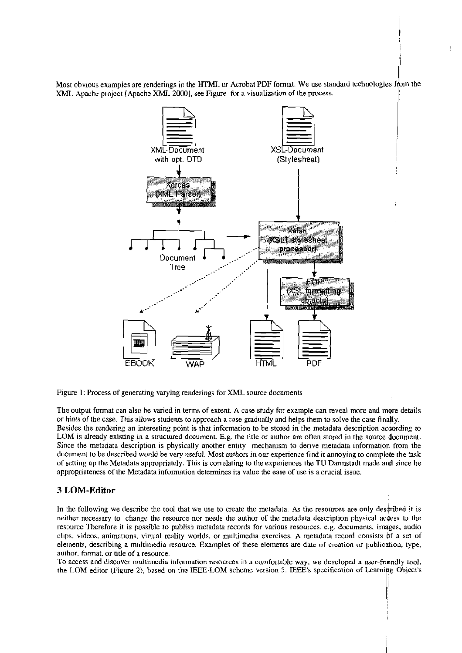Most obvious examples are renderings in the HTML or Acrobat PDF format. We use standard technologies from the XML **Apache XML 2000**J, see Figure for a visualization of the process.

 $\ddot{\mathrm{t}}$ 



Figure 1: Process of generating varying renderings for XML source documents

The output format can also be varied in terms of extent. A case study for example can reveal more and more details or hints of the case. This allows students to approach a case gradually and helps them to solve the case finally. Besides the rendenng an interesting point is that information tobe stored in the metadata description according to LOM is already existing in a structured document. E.g. the title or author are often stored in the source document. Since the metadata description is physically another entity mechanism to derive metadata information from the document to be described would be very useful. Most authors in our experience find it annoying to complete the task of setting up the Metadata appropriately. This is correlating to the experiences the TU Darmstadt made and since he appropriateness of the Metadata infurmaiion determines its vdue the ease of use is a crucial issue.

## 3 LOM-Editor

In the following we describe the tool that we use to create the metadata. As the resources are only described it is neither necessary to change the resource nor needs the author of the metadata description physical acqess to the resource Therefore it is possible to publish metadata records for various resources, e.g. documents, images, audio clips, videos, animations, virtual reality worlds, or multimedia exercises. A metadata record consists of a set of elernents, describing a multimedia resource. Examples of these elements are date of creation or publicdion, type, author, format, or title of a resource.

To access and discover mdtiimdia information resources in a comfonable way, we developed **a** uscr-fnendly tool, the IDM editor (Figure 2). based on the IEEE-LOM scherne version 5. IEEE's specification of Learnipg Object's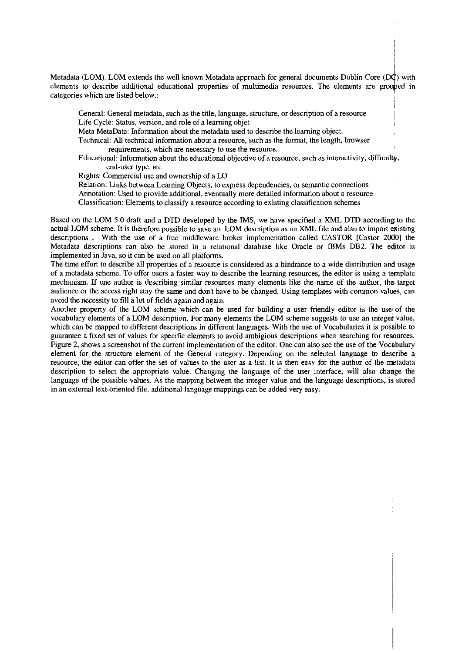categories which are listed below.: Metadata (LOM). LOM extends the well known Metadata approach for general documents Dublin Core  $(D\phi)$  with elements to describe additional educational properties of multimedia resources. The elements are grouped in

General: General metadata, such as the title, language, structure, or description of a resource Life Cycle: Status, version, and role of a learning objet

Meta MetaData: Information about the metadata used to describe the leaming object.

Technical: All technical information about a resource, such as the format, the length, browser requirements, which are necessary to use the resource.

Educational: Information about the educational objective of a resource, such as interactivity, difficulb, end-user type, etc

Rights: Commercial use and ownership of aLO

Relation: Links between Leaming Objects, to express dependencies, or semantic connections <sup>i</sup> Annotation: Used to provide additional, eventuaily more detailed information about a resource Classification: Elements to classify a resource according to existing classification schemes

Based on the LOM 5.0 draft and a DTD developed by the IMS, we have specified a XML DTD according to the actual LOM scheme. It is therefore possible to save an LOM description as an XML file and also to import existing descriptions . With the use of a free middleware broker implementation called CASTOR [Castor 2000] the Metadata descriptions can also be stored in a relational database like Oracle or IBMs DB2. The editor is implemented in Java, so it can be used on ail platforms.

The time effort to describe all properlies of a resource is considered as a hindrance to a wide distribution and usage of a metadata scheme. To offer Users a faster way to describe the learning resources, the editor is using a template mechanism. If one author is describing similar resources many elements like the name of the author, the target audience or the access right stay the same and don't have to be changed. Using templates with common valws, can avoid the necessity to fill a lot of fields again and again.

Another property of the LOM scheme which can be used for building a user friendly editor is the use of the vocabulary elements of a LOM description. For many elements the LOM scheme suggests to use an integenvalue, which can be mapped to different descriptions in different languages. With the use of Vocabularies it is possible to guarantee a fixed set of values for specific elements to avoid ambigious descriptions when searching for resources. Figure 2, shows a screenshot of the current implementation of the editor. One can also see the use of the Vocabulary element for the structure element of the General category. Depending on the selected language to describe a resource, the editor can offer the set of vaiues to the User **as** a list. It is then easy for the author of the metadata description to select the appropriate value. Changing the language of the user interface, will also change the language of the possible values. As the mapping between the integer value and the language descriptions, is stored in an external text-oriented file. additional language mappings can be added vety easy.